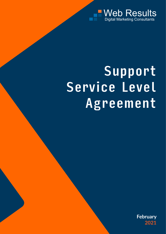

# Support Service Level Agreement

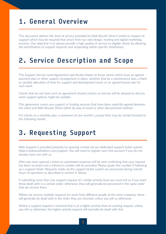#### 1. General Overview

This document defines the level of service provided by Web Results Direct Limited in respect of support which may be required that arises from our web design, hosting and digital marketing services. Our objective is to always provide a high quality of service to eligible clients by allowing the prioritisation of support requests and responding within specific timeframes.

#### 2. Service Description and Scope

This Support Service Level Agreement specifically relates to those clients which have an agreed payment plan or other support arrangement in place, whether that be a maintenance plan, a fixed or variable allocation of time for support and development work, or an agreed hourly rate for such work.

Clients that do not have such an agreement should contact us and we will be pleased to discuss what support options might be suitable.

This agreement covers any support or hosting services that have been explicitly agreed between the client and Web Results Direct either by way of email or other documented method.

For clients on a monthly plan, a maximum of one month's unused time may be carried forward to the following month.

### 3. Requesting Support

Web Support is provided primarily by opening a ticket via our dedicated support ticket system: https://webresultsdirect.com/support. You will need to register your free account if you do not already have one with us.

After you have opened a ticket an automated response will be sent confirming that your request has been received and a reference number will be provided. Please quote this number if following up a support ticket. Requests made via the support ticket system are processed during normal hours of operation as described in section 4. below.

If submitting more than one support request of a similar priority level you must tell us if you want these dealt with in a certain order, otherwise, they will generally be processed in the same order that we receive them.

Where we receive multiple requests for work from different people at the same company, these will generally be dealt with in the order they are received, unless you tell us otherwise.

Where a support request is received that is of a higher priority than an existing request, unless you tell us otherwise, the higher priority request will normally be dealt with first.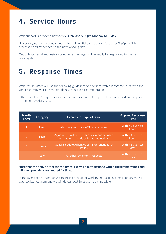### 4. Service Hours

Web support is provided between **9.30am and 5.30pm Monday to Friday.**

Unless urgent (see response times table below), tickets that are raised after 3.30pm will be processed and responded to the next working day.

Out of hours email requests or telephone messages will generally be responded to the next working day.

#### 5. Response Times

Web Result Direct will use the following guidelines to prioritize web support requests, with the goal of starting work on the problem within the target timeframe.

Other than level 1 requests, tickets that are raised after 3.30pm will be processed and responded to the next working day.

| <b>Priority</b><br>Level | Category    | <b>Example of Type of Issue</b>                                                                 | <b>Approx. Response</b><br>Time   |
|--------------------------|-------------|-------------------------------------------------------------------------------------------------|-----------------------------------|
| 1                        | Urgent      | Website goes totally offline or is hacked                                                       | <b>Within 2 business</b><br>hours |
| $\overline{2}$           | <b>High</b> | Major functionality issue, such as important pages<br>not loading properly or forms not working | <b>Within 4 business</b><br>hours |
| 3                        | Normal      | General updates/changes or minor functionality<br><i>issues</i>                                 | <b>Within 1 business</b><br>day   |
| 4                        | Low         | All other low priority requests                                                                 | <b>Within 3 business</b><br>days  |

#### **Note that the above are response times. We will aim to respond within these timeframes and will then provide an estimated fix time.**

In the event of an urgent situation arising outside or working hours, please email emergency@ webresultsdirect.com and we will do our best to assist if at all possible.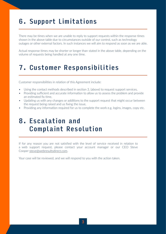# 6. Support Limitations

There may be times when we are unable to reply to support requests within the response times shown in the above table due to circumstances outside of our control, such as technology outages or other external factors. In such instances we will aim to respond as soon as we are able.

Actual response times may be shorter or longer than stated in the above table, depending on the volume of requests being handled at any one time.

### 7. Customer Responsibilities

Customer responsibilities in relation of this Agreement include:

- Using the contact methods described in section 3. (above) to request support services,
- Providing sufficient and accurate information to allow us to assess the problem and provide an estimated fix time,
- Updating us with any changes or additions to the support request that might occur between the request being raised and us fixing the issue,
- Providing any information required for us to complete the work e.g. logins, images, copy etc.

## 8. Escalation and Complaint Resolution

If for any reason you are not satisfied with the level of service received in relation to a web support request, please contact your account manager or our CEO Steve Coopersteve@webresultsdirect.com.

Your case will be reviewed, and we will respond to you with the action taken.